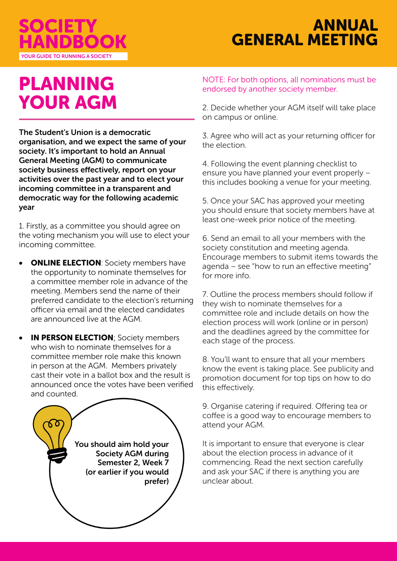

## ANNUAL GENERAL MEETING

# PLANNING YOUR AGM

The Student's Union is a democratic organisation, and we expect the same of your society. It's important to hold an Annual General Meeting (AGM) to communicate society business effectively, report on your activities over the past year and to elect your incoming committee in a transparent and democratic way for the following academic year

1. Firstly, as a committee you should agree on the voting mechanism you will use to elect your incoming committee.

- **ONLINE ELECTION:** Society members have the opportunity to nominate themselves for a committee member role in advance of the meeting. Members send the name of their preferred candidate to the election's returning officer via email and the elected candidates are announced live at the AGM.
- **IN PERSON ELECTION; Society members** who wish to nominate themselves for a committee member role make this known in person at the AGM. Members privately cast their vote in a ballot box and the result is announced once the votes have been verified and counted.



NOTE: For both options, all nominations must be endorsed by another society member.

2. Decide whether your AGM itself will take place on campus or online.

3. Agree who will act as your returning officer for the election.

4. Following the event planning checklist to ensure you have planned your event properly – this includes booking a venue for your meeting.

5. Once your SAC has approved your meeting you should ensure that society members have at least one-week prior notice of the meeting.

6. Send an email to all your members with the society constitution and meeting agenda. Encourage members to submit items towards the agenda – see "how to run an effective meeting" for more info.

7. Outline the process members should follow if they wish to nominate themselves for a committee role and include details on how the election process will work (online or in person) and the deadlines agreed by the committee for each stage of the process.

8. You'll want to ensure that all your members know the event is taking place. See publicity and promotion document for top tips on how to do this effectively.

9. Organise catering if required. Offering tea or coffee is a good way to encourage members to attend your AGM.

It is important to ensure that everyone is clear about the election process in advance of it commencing. Read the next section carefully and ask your SAC if there is anything you are unclear about.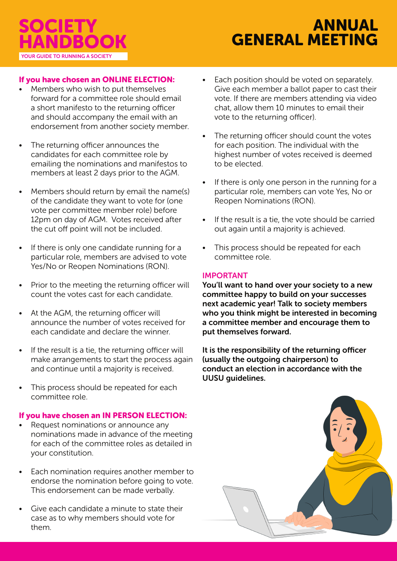### If you have chosen an ONLINE ELECTION:

- Members who wish to put themselves forward for a committee role should email a short manifesto to the returning officer and should accompany the email with an endorsement from another society member.
- The returning officer announces the candidates for each committee role by emailing the nominations and manifestos to members at least 2 days prior to the AGM.
- Members should return by email the name(s) of the candidate they want to vote for (one vote per committee member role) before 12pm on day of AGM. Votes received after the cut off point will not be included.
- If there is only one candidate running for a particular role, members are advised to vote Yes/No or Reopen Nominations (RON).
- Prior to the meeting the returning officer will count the votes cast for each candidate.
- At the AGM, the returning officer will announce the number of votes received for each candidate and declare the winner.
- If the result is a tie, the returning officer will make arrangements to start the process again and continue until a majority is received.
- This process should be repeated for each committee role.

#### If you have chosen an IN PERSON ELECTION:

- Request nominations or announce any nominations made in advance of the meeting for each of the committee roles as detailed in your constitution.
- Each nomination requires another member to endorse the nomination before going to vote. This endorsement can be made verbally.
- Give each candidate a minute to state their case as to why members should vote for them.
- Each position should be voted on separately. Give each member a ballot paper to cast their vote. If there are members attending via video chat, allow them 10 minutes to email their vote to the returning officer).
- The returning officer should count the votes for each position. The individual with the highest number of votes received is deemed to be elected.
- If there is only one person in the running for a particular role, members can vote Yes, No or Reopen Nominations (RON).
- If the result is a tie, the vote should be carried out again until a majority is achieved.
- This process should be repeated for each committee role.

#### IMPORTANT

You'll want to hand over your society to a new committee happy to build on your successes next academic year! Talk to society members who you think might be interested in becoming a committee member and encourage them to put themselves forward.

It is the responsibility of the returning officer (usually the outgoing chairperson) to conduct an election in accordance with the UUSU guidelines.

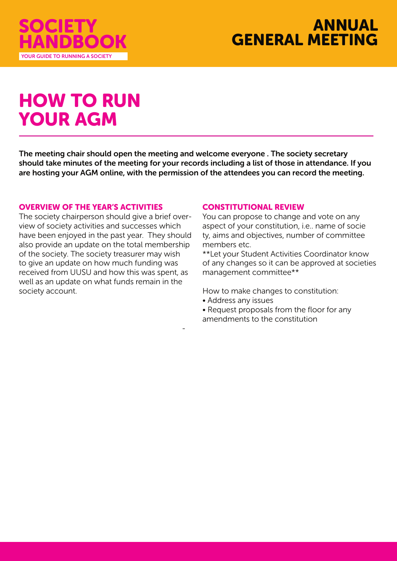



# HOW TO RUN YOUR AGM

The meeting chair should open the meeting and welcome everyone . The society secretary should take minutes of the meeting for your records including a list of those in attendance. If you are hosting your AGM online, with the permission of the attendees you can record the meeting.

-

#### OVERVIEW OF THE YEAR'S ACTIVITIES

The society chairperson should give a brief overview of society activities and successes which have been enjoyed in the past year. They should also provide an update on the total membership of the society. The society treasurer may wish to give an update on how much funding was received from UUSU and how this was spent, as well as an update on what funds remain in the society account.

#### CONSTITUTIONAL REVIEW

You can propose to change and vote on any aspect of your constitution, i.e.. name of socie ty, aims and objectives, number of committee members etc.

\*\*Let your Student Activities Coordinator know of any changes so it can be approved at societies management committee\*\*

How to make changes to constitution:

- Address any issues
- Request proposals from the floor for any amendments to the constitution